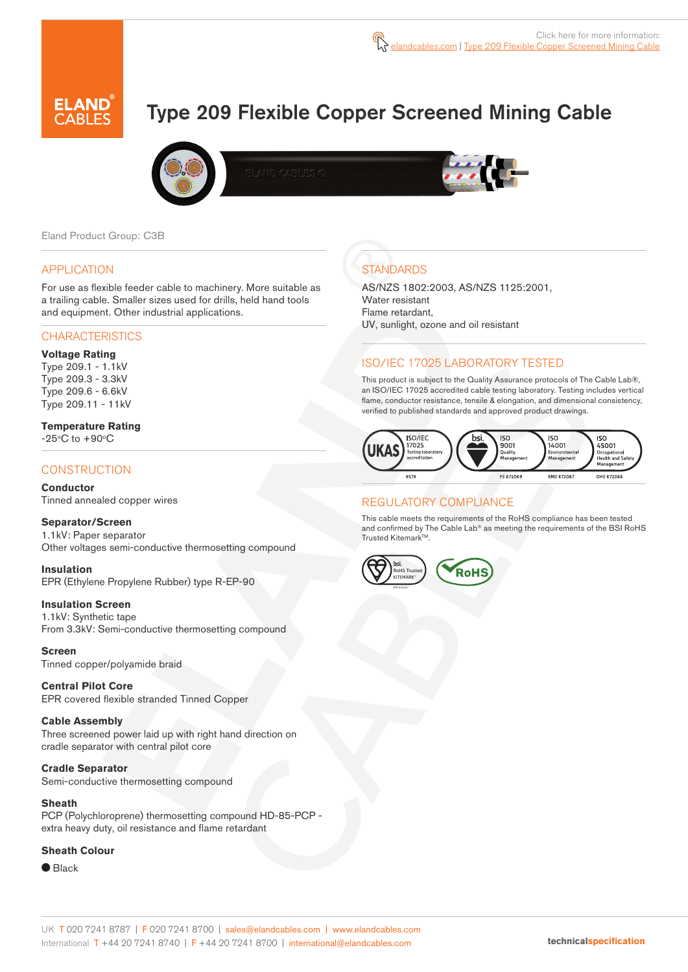# Type 209 Flexible Copper Screened Mining Cable





Eland Product Group: C3B

#### APPLICATION

For use as flexible feeder cable to machinery. More suitable as a trailing cable. Smaller sizes used for drills, held hand tools and equipment. Other industrial applications.

#### **CHARACTERISTICS**

#### **Voltage Rating**

Type 209.1 - 1.1kV Type 209.3 - 3.3kV Type 209.6 - 6.6kV Type 209.11 - 11kV

#### **Temperature Rating**

 $-25^{\circ}$ C to  $+90^{\circ}$ C

### **CONSTRUCTION**

**Conductor**

Tinned annealed copper wires

#### **Separator/Screen**

1.1kV: Paper separator Other voltages semi-conductive thermosetting compound

#### **Insulation**

EPR (Ethylene Propylene Rubber) type R-EP-90

#### **Insulation Screen**

1.1kV: Synthetic tape From 3.3kV: Semi-conductive thermosetting compound

#### **Screen**

Tinned copper/polyamide braid

#### **Central Pilot Core** EPR covered flexible stranded Tinned Copper

**Cable Assembly**  Three screened power laid up with right hand direction on

cradle separator with central pilot core

#### **Cradle Separator**

Semi-conductive thermosetting compound

#### **Sheath**

PCP (Polychloroprene) thermosetting compound HD-85-PCP extra heavy duty, oil resistance and flame retardant

#### **Sheath Colour**

● Black

# **STANDARDS**

AS/NZS 1802:2003, AS/NZS 1125:2001, Water resistant Flame retardant, UV, sunlight, ozone and oil resistant

# ISO/IEC 17025 LABORATORY TESTED

This product is subject to the Quality Assurance protocols of The Cable Lab®, an ISO/IEC 17025 accredited cable testing laboratory. Testing includes vertical flame, conductor resistance, tensile & elongation, and dimensional consistency, verified to published standards and approved product drawings.



## REGULATORY COMPLIANCE

This cable meets the requirements of the RoHS compliance has been tested and confirmed by The Cable Lab® as meeting the requirements of the BSI RoHS Trusted Kitemark™.